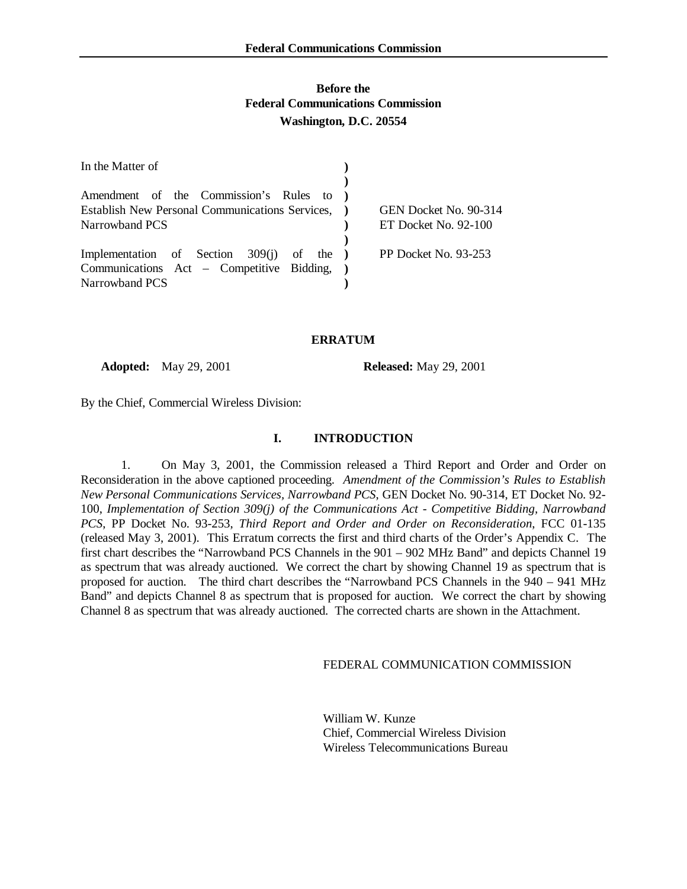# **Before the Federal Communications Commission Washington, D.C. 20554**

| In the Matter of                                |                       |
|-------------------------------------------------|-----------------------|
|                                                 |                       |
| Amendment of the Commission's Rules to          |                       |
| Establish New Personal Communications Services, | GEN Docket No. 90-314 |
| Narrowband PCS                                  | ET Docket No. 92-100  |
|                                                 |                       |
| Implementation of Section $309(j)$ of the )     | PP Docket No. 93-253  |
| Communications Act – Competitive Bidding, )     |                       |
| Narrowband PCS                                  |                       |

#### **ERRATUM**

**Adopted:** May 29, 2001 **Released:** May 29, 2001

By the Chief, Commercial Wireless Division:

### **I. INTRODUCTION**

1. On May 3, 2001, the Commission released a Third Report and Order and Order on Reconsideration in the above captioned proceeding. *Amendment of the Commission's Rules to Establish New Personal Communications Services, Narrowband PCS*, GEN Docket No. 90-314, ET Docket No. 92- 100, *Implementation of Section 309(j) of the Communications Act - Competitive Bidding, Narrowband PCS*, PP Docket No. 93-253, *Third Report and Order and Order on Reconsideration*, FCC 01-135 (released May 3, 2001). This Erratum corrects the first and third charts of the Order's Appendix C. The first chart describes the "Narrowband PCS Channels in the 901 – 902 MHz Band" and depicts Channel 19 as spectrum that was already auctioned. We correct the chart by showing Channel 19 as spectrum that is proposed for auction. The third chart describes the "Narrowband PCS Channels in the 940 – 941 MHz Band" and depicts Channel 8 as spectrum that is proposed for auction. We correct the chart by showing Channel 8 as spectrum that was already auctioned. The corrected charts are shown in the Attachment.

FEDERAL COMMUNICATION COMMISSION

William W. Kunze Chief, Commercial Wireless Division Wireless Telecommunications Bureau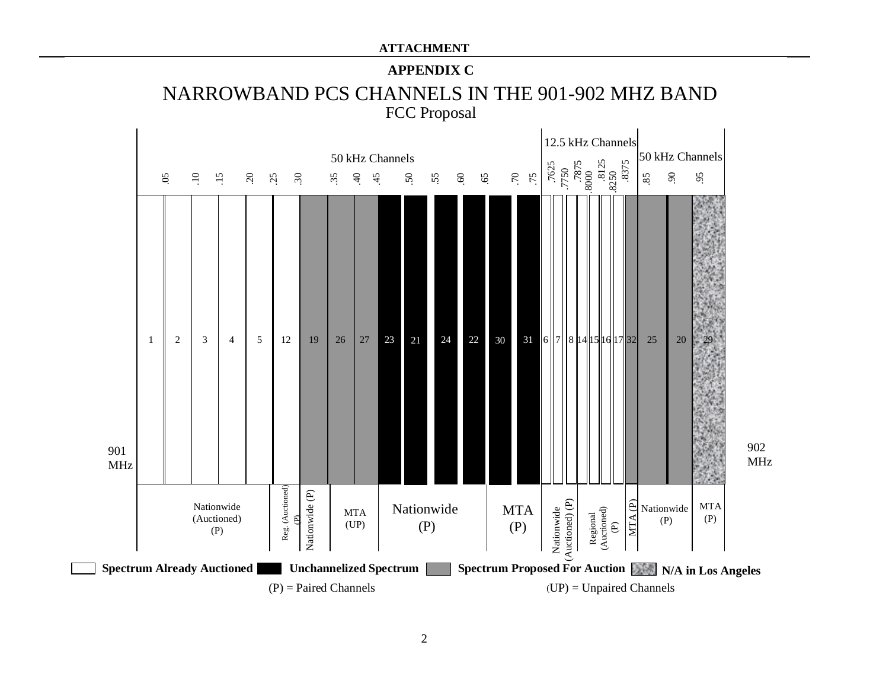### **ATTACHMENT**

# **APPENDIX C**



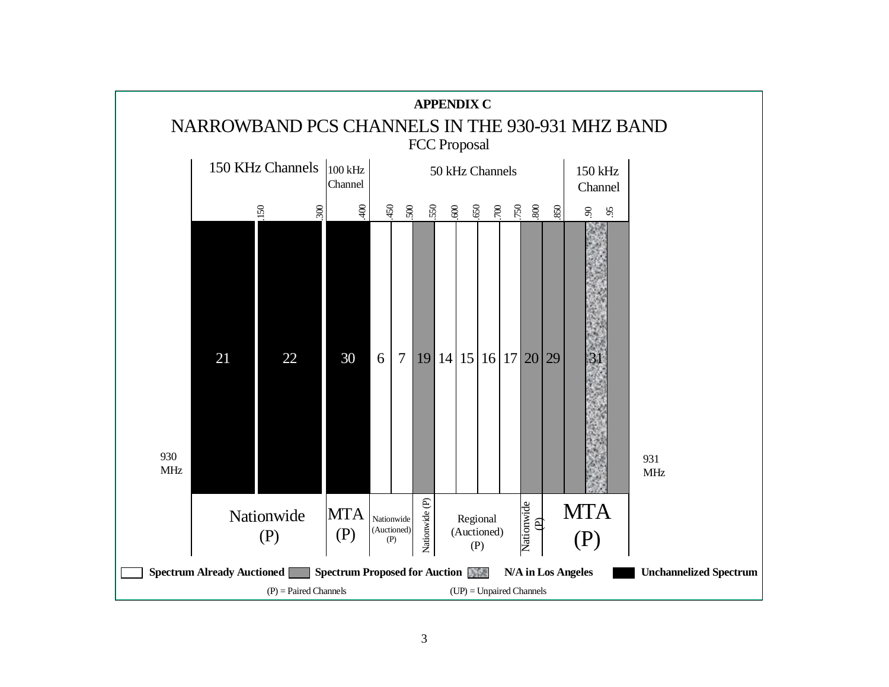